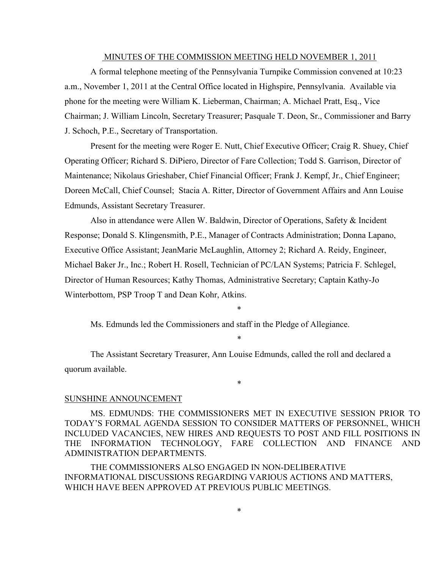#### MINUTES OF THE COMMISSION MEETING HELD NOVEMBER 1, 2011

 A formal telephone meeting of the Pennsylvania Turnpike Commission convened at 10:23 a.m., November 1, 2011 at the Central Office located in Highspire, Pennsylvania. Available via phone for the meeting were William K. Lieberman, Chairman; A. Michael Pratt, Esq., Vice Chairman; J. William Lincoln, Secretary Treasurer; Pasquale T. Deon, Sr., Commissioner and Barry J. Schoch, P.E., Secretary of Transportation.

Present for the meeting were Roger E. Nutt, Chief Executive Officer; Craig R. Shuey, Chief Operating Officer; Richard S. DiPiero, Director of Fare Collection; Todd S. Garrison, Director of Maintenance; Nikolaus Grieshaber, Chief Financial Officer; Frank J. Kempf, Jr., Chief Engineer; Doreen McCall, Chief Counsel; Stacia A. Ritter, Director of Government Affairs and Ann Louise Edmunds, Assistant Secretary Treasurer.

 Also in attendance were Allen W. Baldwin, Director of Operations, Safety & Incident Response; Donald S. Klingensmith, P.E., Manager of Contracts Administration; Donna Lapano, Executive Office Assistant; JeanMarie McLaughlin, Attorney 2; Richard A. Reidy, Engineer, Michael Baker Jr., Inc.; Robert H. Rosell, Technician of PC/LAN Systems; Patricia F. Schlegel, Director of Human Resources; Kathy Thomas, Administrative Secretary; Captain Kathy-Jo Winterbottom, PSP Troop T and Dean Kohr, Atkins.

Ms. Edmunds led the Commissioners and staff in the Pledge of Allegiance.

\*

\*

The Assistant Secretary Treasurer, Ann Louise Edmunds, called the roll and declared a quorum available.

\*

#### SUNSHINE ANNOUNCEMENT

MS. EDMUNDS: THE COMMISSIONERS MET IN EXECUTIVE SESSION PRIOR TO TODAY'S FORMAL AGENDA SESSION TO CONSIDER MATTERS OF PERSONNEL, WHICH INCLUDED VACANCIES, NEW HIRES AND REQUESTS TO POST AND FILL POSITIONS IN THE INFORMATION TECHNOLOGY, FARE COLLECTION AND FINANCE AND ADMINISTRATION DEPARTMENTS.

 THE COMMISSIONERS ALSO ENGAGED IN NON-DELIBERATIVE INFORMATIONAL DISCUSSIONS REGARDING VARIOUS ACTIONS AND MATTERS, WHICH HAVE BEEN APPROVED AT PREVIOUS PUBLIC MEETINGS.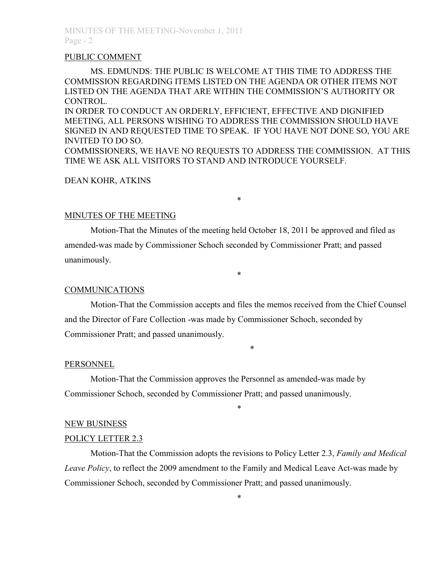#### PUBLIC COMMENT

MS. EDMUNDS: THE PUBLIC IS WELCOME AT THIS TIME TO ADDRESS THE COMMISSION REGARDING ITEMS LISTED ON THE AGENDA OR OTHER ITEMS NOT LISTED ON THE AGENDA THAT ARE WITHIN THE COMMISSION'S AUTHORITY OR CONTROL.

IN ORDER TO CONDUCT AN ORDERLY, EFFICIENT, EFFECTIVE AND DIGNIFIED MEETING, ALL PERSONS WISHING TO ADDRESS THE COMMISSION SHOULD HAVE SIGNED IN AND REQUESTED TIME TO SPEAK. IF YOU HAVE NOT DONE SO, YOU ARE INVITED TO DO SO.

COMMISSIONERS, WE HAVE NO REQUESTS TO ADDRESS THE COMMISSION. AT THIS TIME WE ASK ALL VISITORS TO STAND AND INTRODUCE YOURSELF.

\*

### DEAN KOHR, ATKINS

### MINUTES OF THE MEETING

 Motion-That the Minutes of the meeting held October 18, 2011 be approved and filed as amended-was made by Commissioner Schoch seconded by Commissioner Pratt; and passed unanimously.

### **COMMUNICATIONS**

Motion-That the Commission accepts and files the memos received from the Chief Counsel and the Director of Fare Collection -was made by Commissioner Schoch, seconded by Commissioner Pratt; and passed unanimously.

\*

\*

#### PERSONNEL

 Motion-That the Commission approves the Personnel as amended-was made by Commissioner Schoch, seconded by Commissioner Pratt; and passed unanimously.

#### NEW BUSINESS

#### POLICY LETTER 2.3

Motion-That the Commission adopts the revisions to Policy Letter 2.3, *Family and Medical Leave Policy*, to reflect the 2009 amendment to the Family and Medical Leave Act-was made by Commissioner Schoch, seconded by Commissioner Pratt; and passed unanimously.

\*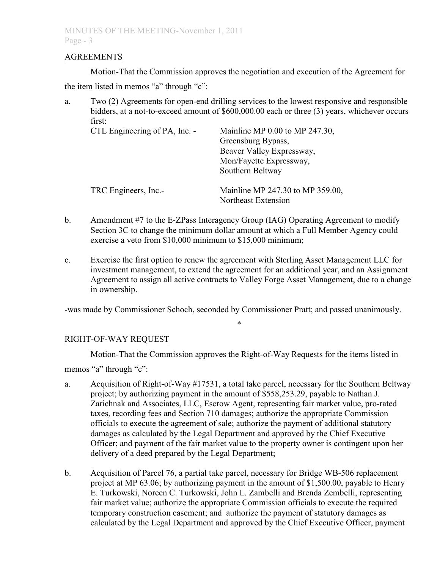## AGREEMENTS

Motion-That the Commission approves the negotiation and execution of the Agreement for

the item listed in memos "a" through "c":

a. Two (2) Agreements for open-end drilling services to the lowest responsive and responsible bidders, at a not-to-exceed amount of \$600,000.00 each or three (3) years, whichever occurs first:

| CTL Engineering of PA, Inc. - | Mainline MP $0.00$ to MP 247.30,<br>Greensburg Bypass,<br>Beaver Valley Expressway,<br>Mon/Fayette Expressway,<br>Southern Beltway |
|-------------------------------|------------------------------------------------------------------------------------------------------------------------------------|
| TRC Engineers, Inc.-          | Mainline MP 247.30 to MP 359.00,<br>Northeast Extension                                                                            |

- b. Amendment #7 to the E-ZPass Interagency Group (IAG) Operating Agreement to modify Section 3C to change the minimum dollar amount at which a Full Member Agency could exercise a veto from \$10,000 minimum to \$15,000 minimum;
- c. Exercise the first option to renew the agreement with Sterling Asset Management LLC for investment management, to extend the agreement for an additional year, and an Assignment Agreement to assign all active contracts to Valley Forge Asset Management, due to a change in ownership.

-was made by Commissioner Schoch, seconded by Commissioner Pratt; and passed unanimously.

# RIGHT-OF-WAY REQUEST

Motion-That the Commission approves the Right-of-Way Requests for the items listed in

\*

memos "a" through "c":

- a. Acquisition of Right-of-Way #17531, a total take parcel, necessary for the Southern Beltway project; by authorizing payment in the amount of \$558,253.29, payable to Nathan J. Zarichnak and Associates, LLC, Escrow Agent, representing fair market value, pro-rated taxes, recording fees and Section 710 damages; authorize the appropriate Commission officials to execute the agreement of sale; authorize the payment of additional statutory damages as calculated by the Legal Department and approved by the Chief Executive Officer; and payment of the fair market value to the property owner is contingent upon her delivery of a deed prepared by the Legal Department;
- b. Acquisition of Parcel 76, a partial take parcel, necessary for Bridge WB-506 replacement project at MP 63.06; by authorizing payment in the amount of \$1,500.00, payable to Henry E. Turkowski, Noreen C. Turkowski, John L. Zambelli and Brenda Zembelli, representing fair market value; authorize the appropriate Commission officials to execute the required temporary construction easement; and authorize the payment of statutory damages as calculated by the Legal Department and approved by the Chief Executive Officer, payment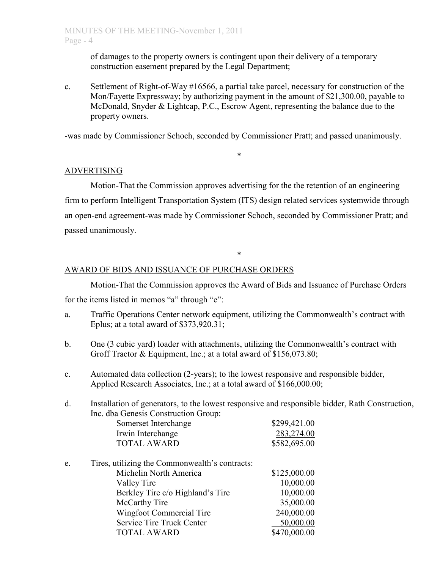of damages to the property owners is contingent upon their delivery of a temporary construction easement prepared by the Legal Department;

c. Settlement of Right-of-Way #16566, a partial take parcel, necessary for construction of the Mon/Fayette Expressway; by authorizing payment in the amount of \$21,300.00, payable to McDonald, Snyder & Lightcap, P.C., Escrow Agent, representing the balance due to the property owners.

-was made by Commissioner Schoch, seconded by Commissioner Pratt; and passed unanimously.

\*

# ADVERTISING

Motion-That the Commission approves advertising for the the retention of an engineering firm to perform Intelligent Transportation System (ITS) design related services systemwide through an open-end agreement-was made by Commissioner Schoch, seconded by Commissioner Pratt; and passed unanimously.

\*

## AWARD OF BIDS AND ISSUANCE OF PURCHASE ORDERS

Motion-That the Commission approves the Award of Bids and Issuance of Purchase Orders for the items listed in memos "a" through "e":

- a. Traffic Operations Center network equipment, utilizing the Commonwealth's contract with Eplus; at a total award of \$373,920.31;
- b. One (3 cubic yard) loader with attachments, utilizing the Commonwealth's contract with Groff Tractor & Equipment, Inc.; at a total award of \$156,073.80;
- c. Automated data collection (2-years); to the lowest responsive and responsible bidder, Applied Research Associates, Inc.; at a total award of \$166,000.00;

McCarthy Tire 35,000.00 Wingfoot Commercial Tire 240,000.00 Service Tire Truck Center 50,000.00 TOTAL AWARD \$470,000.00

| d. | Installation of generators, to the lowest responsive and responsible bidder, Rath Construction, |              |  |
|----|-------------------------------------------------------------------------------------------------|--------------|--|
|    | Inc. dba Genesis Construction Group:                                                            |              |  |
|    | Somerset Interchange                                                                            | \$299,421.00 |  |
|    | Irwin Interchange                                                                               | 283,274.00   |  |
|    | <b>TOTAL AWARD</b>                                                                              | \$582,695.00 |  |
| e. | Tires, utilizing the Commonwealth's contracts:                                                  |              |  |
|    | Michelin North America                                                                          | \$125,000.00 |  |
|    | Valley Tire                                                                                     | 10,000.00    |  |
|    | Berkley Tire c/o Highland's Tire                                                                | 10,000.00    |  |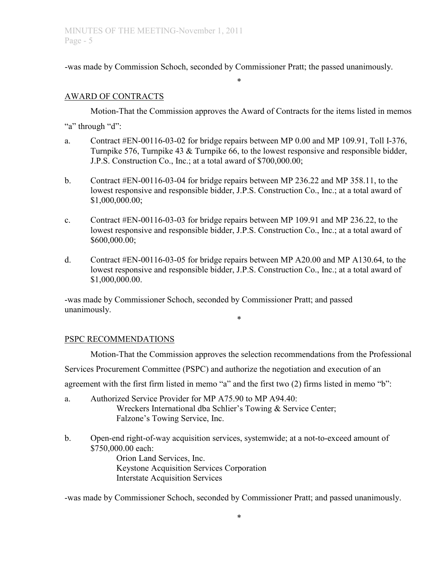-was made by Commission Schoch, seconded by Commissioner Pratt; the passed unanimously.

# AWARD OF CONTRACTS

 Motion-That the Commission approves the Award of Contracts for the items listed in memos "a" through "d":

\*

- a. Contract #EN-00116-03-02 for bridge repairs between MP 0.00 and MP 109.91, Toll I-376, Turnpike 576, Turnpike 43 & Turnpike 66, to the lowest responsive and responsible bidder, J.P.S. Construction Co., Inc.; at a total award of \$700,000.00;
- b. Contract #EN-00116-03-04 for bridge repairs between MP 236.22 and MP 358.11, to the lowest responsive and responsible bidder, J.P.S. Construction Co., Inc.; at a total award of \$1,000,000.00;
- c. Contract #EN-00116-03-03 for bridge repairs between MP 109.91 and MP 236.22, to the lowest responsive and responsible bidder, J.P.S. Construction Co., Inc.; at a total award of \$600,000.00;
- d. Contract #EN-00116-03-05 for bridge repairs between MP A20.00 and MP A130.64, to the lowest responsive and responsible bidder, J.P.S. Construction Co., Inc.; at a total award of \$1,000,000.00.

-was made by Commissioner Schoch, seconded by Commissioner Pratt; and passed unanimously. \*

# PSPC RECOMMENDATIONS

Motion-That the Commission approves the selection recommendations from the Professional Services Procurement Committee (PSPC) and authorize the negotiation and execution of an agreement with the first firm listed in memo "a" and the first two (2) firms listed in memo "b":

- a. Authorized Service Provider for MP A75.90 to MP A94.40:
	- Wreckers International dba Schlier's Towing & Service Center; Falzone's Towing Service, Inc.
- b. Open-end right-of-way acquisition services, systemwide; at a not-to-exceed amount of \$750,000.00 each:

 Orion Land Services, Inc. Keystone Acquisition Services Corporation Interstate Acquisition Services

-was made by Commissioner Schoch, seconded by Commissioner Pratt; and passed unanimously.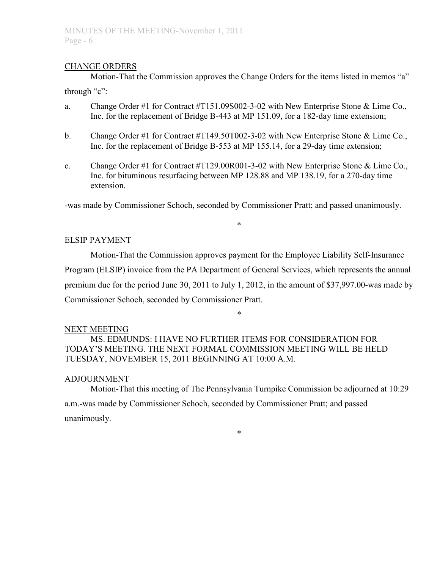## CHANGE ORDERS

Motion-That the Commission approves the Change Orders for the items listed in memos "a" through "c":

- a. Change Order #1 for Contract #T151.09S002-3-02 with New Enterprise Stone & Lime Co., Inc. for the replacement of Bridge B-443 at MP 151.09, for a 182-day time extension;
- b. Change Order #1 for Contract #T149.50T002-3-02 with New Enterprise Stone & Lime Co., Inc. for the replacement of Bridge B-553 at MP 155.14, for a 29-day time extension;
- c. Change Order #1 for Contract #T129.00R001-3-02 with New Enterprise Stone & Lime Co., Inc. for bituminous resurfacing between MP 128.88 and MP 138.19, for a 270-day time extension.

-was made by Commissioner Schoch, seconded by Commissioner Pratt; and passed unanimously.

\*

# ELSIP PAYMENT

 Motion-That the Commission approves payment for the Employee Liability Self-Insurance Program (ELSIP) invoice from the PA Department of General Services, which represents the annual premium due for the period June 30, 2011 to July 1, 2012, in the amount of \$37,997.00-was made by Commissioner Schoch, seconded by Commissioner Pratt.

\*

### NEXT MEETING

 MS. EDMUNDS: I HAVE NO FURTHER ITEMS FOR CONSIDERATION FOR TODAY'S MEETING. THE NEXT FORMAL COMMISSION MEETING WILL BE HELD TUESDAY, NOVEMBER 15, 2011 BEGINNING AT 10:00 A.M.

# ADJOURNMENT

 Motion-That this meeting of The Pennsylvania Turnpike Commission be adjourned at 10:29 a.m.-was made by Commissioner Schoch, seconded by Commissioner Pratt; and passed unanimously.

\*